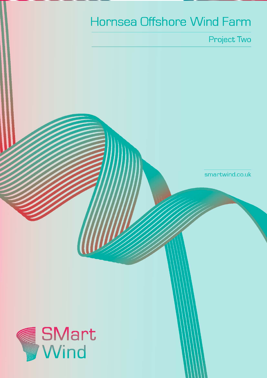# Hornsea Offshore Wind Farm

Project Two

smartwind.co.uk

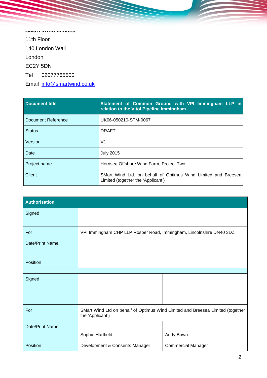**SMart Wind Limited** 11th Floor 140 London Wall London EC2Y 5DN Tel 02077765500 Email [info@smartwind.co.uk](mailto:info@smartwind.co.uk)

| Document title     | Statement of Common Ground with VPI Immingham LLP in<br>relation to the Vitol Pipeline Immingham    |
|--------------------|-----------------------------------------------------------------------------------------------------|
| Document Reference | UK06-050210-STM-0067                                                                                |
| <b>Status</b>      | <b>DRAFT</b>                                                                                        |
| Version            | V1                                                                                                  |
| Date               | <b>July 2015</b>                                                                                    |
| Project name       | Hornsea Offshore Wind Farm, Project Two                                                             |
| Client             | SMart Wind Ltd. on behalf of Optimus Wind Limited and Breesea<br>Limited (together the 'Applicant') |

| <b>Authorisation</b> |                                                                                                    |                           |
|----------------------|----------------------------------------------------------------------------------------------------|---------------------------|
| Signed               |                                                                                                    |                           |
| For                  | VPI Immingham CHP LLP Rosper Road, Immingham, Lincolnshire DN40 3DZ                                |                           |
| Date/Print Name      |                                                                                                    |                           |
| Position             |                                                                                                    |                           |
|                      |                                                                                                    |                           |
| Signed               |                                                                                                    |                           |
| For                  | SMart Wind Ltd on behalf of Optimus Wind Limited and Breesea Limited (together<br>the 'Applicant') |                           |
| Date/Print Name      |                                                                                                    |                           |
|                      | Sophie Hartfield                                                                                   | Andy Bown                 |
| Position             | Development & Consents Manager                                                                     | <b>Commercial Manager</b> |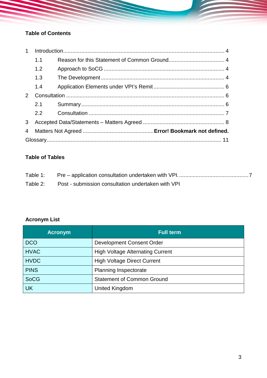# **Table of Contents**

| $\mathbf{1}$ |     |  |  |
|--------------|-----|--|--|
|              | 1.1 |  |  |
|              | 1.2 |  |  |
|              | 1.3 |  |  |
|              | 1.4 |  |  |
|              |     |  |  |
|              | 2.1 |  |  |
|              | 2.2 |  |  |
| 3            |     |  |  |
| 4            |     |  |  |
|              |     |  |  |

# **Table of Tables**

| Table 1: |                                                    |
|----------|----------------------------------------------------|
| Table 2: | Post - submission consultation undertaken with VPI |

# **Acronym List**

| <b>Acronym</b> | <b>Full term</b>                        |
|----------------|-----------------------------------------|
| <b>DCO</b>     | Development Consent Order               |
| <b>HVAC</b>    | <b>High Voltage Alternating Current</b> |
| <b>HVDC</b>    | <b>High Voltage Direct Current</b>      |
| <b>PINS</b>    | <b>Planning Inspectorate</b>            |
| <b>SoCG</b>    | <b>Statement of Common Ground</b>       |
| <b>UK</b>      | United Kingdom                          |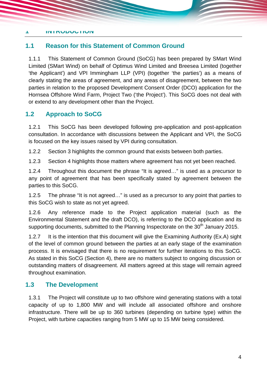#### <span id="page-3-0"></span>**1 INTRODUCTION**

#### <span id="page-3-1"></span>**1.1 Reason for this Statement of Common Ground**

1.1.1 This Statement of Common Ground (SoCG) has been prepared by SMart Wind Limited (SMart Wind) on behalf of Optimus Wind Limited and Breesea Limited (together 'the Applicant') and VPI Immingham LLP (VPI) (together 'the parties') as a means of clearly stating the areas of agreement, and any areas of disagreement, between the two parties in relation to the proposed Development Consent Order (DCO) application for the Hornsea Offshore Wind Farm, Project Two ('the Project'). This SoCG does not deal with or extend to any development other than the Project.

#### <span id="page-3-2"></span>**1.2 Approach to SoCG**

1.2.1 This SoCG has been developed following pre-application and post-application consultation. In accordance with discussions between the Applicant and VPI, the SoCG is focused on the key issues raised by VPI during consultation.

1.2.2 Section [3](#page-7-0) highlights the common ground that exists between both parties.

1.2.3 Section 4 highlights those matters where agreement has not yet been reached.

1.2.4 Throughout this document the phrase "It is agreed…" is used as a precursor to any point of agreement that has been specifically stated by agreement between the parties to this SoCG.

1.2.5 The phrase "It is not agreed…" is used as a precursor to any point that parties to this SoCG wish to state as not yet agreed.

1.2.6 Any reference made to the Project application material (such as the Environmental Statement and the draft DCO), is referring to the DCO application and its supporting documents, submitted to the Planning Inspectorate on the 30<sup>th</sup> January 2015.

1.2.7 It is the intention that this document will give the Examining Authority (Ex.A) sight of the level of common ground between the parties at an early stage of the examination process. It is envisaged that there is no requirement for further iterations to this SoCG. As stated in this SoCG (Section 4), there are no matters subject to ongoing discussion or outstanding matters of disagreement. All matters agreed at this stage will remain agreed throughout examination.

#### <span id="page-3-3"></span>**1.3 The Development**

1.3.1 The Project will constitute up to two offshore wind generating stations with a total capacity of up to 1,800 MW and will include all associated offshore and onshore infrastructure. There will be up to 360 turbines (depending on turbine type) within the Project, with turbine capacities ranging from 5 MW up to 15 MW being considered.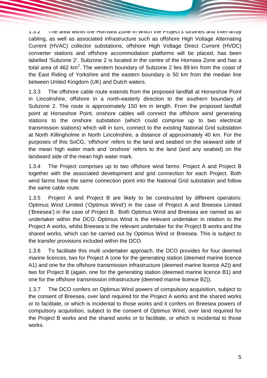1.3.2 The area within the Hornsea Zone in which the Project's turbines and inter-array cabling, as well as associated infrastructure such as offshore High Voltage Alternating Current (HVAC) collector substations, offshore High Voltage Direct Current (HVDC) converter stations and offshore accommodation platforms will be placed, has been labelled 'Subzone 2'. Subzone 2 is located in the centre of the Hornsea Zone and has a total area of 462 km<sup>2</sup>. The western boundary of Subzone 2 lies 89 km from the coast of the East Riding of Yorkshire and the eastern boundary is 50 km from the median line between United Kingdom (UK) and Dutch waters.

1.3.3 The offshore cable route extends from the proposed landfall at Horseshoe Point in Lincolnshire, offshore in a north-easterly direction to the southern boundary of Subzone 2. The route is approximately 150 km in length. From the proposed landfall point at Horseshoe Point, onshore cables will connect the offshore wind generating stations to the onshore substation (which could comprise up to two electrical transmission stations) which will in turn, connect to the existing National Grid substation at North Killingholme in North Lincolnshire, a distance of approximately 40 km. For the purposes of this SoCG, 'offshore' refers to the land and seabed on the seaward side of the mean high water mark and 'onshore' refers to the land (and any seabed) on the landward side of the mean high water mark.

1.3.4 The Project comprises up to two offshore wind farms: Project A and Project B together with the associated development and grid connection for each Project. Both wind farms have the same connection point into the National Grid substation and follow the same cable route.

1.3.5 Project A and Project B are likely to be constructed by different operators: Optimus Wind Limited ('Optimus Wind') in the case of Project A and Breesea Limited ('Breesea') in the case of Project B. Both Optimus Wind and Breesea are named as an undertaker within the DCO. Optimus Wind is the relevant undertaker in relation to the Project A works, whilst Breesea is the relevant undertaker for the Project B works and the shared works, which can be carried out by Optimus Wind or Breesea. This is subject to the transfer provisions included within the DCO.

1.3.6 To facilitate this multi undertaker approach, the DCO provides for four deemed marine licences, two for Project A (one for the generating station (deemed marine licence A1) and one for the offshore transmission infrastructure (deemed marine licence A2)) and two for Project B (again, one for the generating station (deemed marine licence B1) and one for the offshore transmission infrastructure (deemed marine licence B2)).

1.3.7 The DCO confers on Optimus Wind powers of compulsory acquisition, subject to the consent of Breesea, over land required for the Project A works and the shared works or to facilitate, or which is incidental to those works and it confers on Breesea powers of compulsory acquisition, subject to the consent of Optimus Wind, over land required for the Project B works and the shared works or to facilitate, or which is incidental to those works.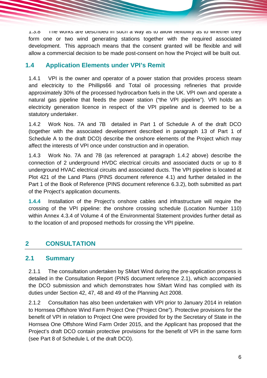$1.3.8$  The works are described in such a way as to allow flexibility as to whether they form one or two wind generating stations together with the required associated development. This approach means that the consent granted will be flexible and will allow a commercial decision to be made post-consent on how the Project will be built out.

## <span id="page-5-0"></span>**1.4 Application Elements under VPI's Remit**

1.4.1 VPI is the owner and operator of a power station that provides process steam and electricity to the Phillips66 and Total oil processing refineries that provide approximately 30% of the processed hydrocarbon fuels in the UK. VPI own and operate a natural gas pipeline that feeds the power station ("the VPI pipeline"). VPI holds an electricity generation licence in respect of the VPI pipeline and is deemed to be a statutory undertaker.

1.4.2 Work Nos. 7A and 7B detailed in Part 1 of Schedule A of the draft DCO (together with the associated development described in paragraph 13 of Part 1 of Schedule A to the draft DCO) describe the onshore elements of the Project which may affect the interests of VPI once under construction and in operation.

1.4.3 Work No. 7A and 7B (as referenced at paragraph 1.4.2 above) describe the connection of 2 underground HVDC electrical circuits and associated ducts or up to 8 underground HVAC electrical circuits and associated ducts. The VPI pipeline is located at Plot 421 of the Land Plans (PINS document reference 4.1) and further detailed in the Part 1 of the Book of Reference (PINS document reference 6.3.2), both submitted as part of the Project's application documents.

**1.4.4** Installation of the Project's onshore cables and infrastructure will require the crossing of the VPI pipeline: the onshore crossing schedule (Location Number 110) within Annex 4.3.4 of Volume 4 of the Environmental Statement provides further detail as to the location of and proposed methods for crossing the VPI pipeline.

# <span id="page-5-1"></span>**2 CONSULTATION**

#### <span id="page-5-2"></span>**2.1 Summary**

2.1.1 The consultation undertaken by SMart Wind during the pre-application process is detailed in the Consultation Report (PINS document reference 2.1), which accompanied the DCO submission and which demonstrates how SMart Wind has complied with its duties under Section 42, 47, 48 and 49 of the Planning Act 2008.

2.1.2 Consultation has also been undertaken with VPI prior to January 2014 in relation to Hornsea Offshore Wind Farm Project One ("Project One"). Protective provisions for the benefit of VPI in relation to Project One were provided for by the Secretary of State in the Hornsea One Offshore Wind Farm Order 2015, and the Applicant has proposed that the Project's draft DCO contain protective provisions for the benefit of VPI in the same form (see Part 8 of Schedule L of the draft DCO).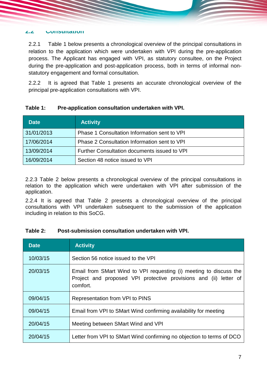#### <span id="page-6-0"></span>**2.2 Consultation**

2.2.1 [Table 1](#page-6-1) below presents a chronological overview of the principal consultations in relation to the application which were undertaken with VPI during the pre-application process. The Applicant has engaged with VPI, as statutory consultee, on the Project during the pre-application and post-application process, both in terms of informal nonstatutory engagement and formal consultation.

2.2.2 It is agreed that [Table 1](#page-6-1) presents an accurate chronological overview of the principal pre-application consultations with VPI.

| <b>Date</b> | <b>Activity</b>                              |
|-------------|----------------------------------------------|
| 31/01/2013  | Phase 1 Consultation Information sent to VPI |
| 17/06/2014  | Phase 2 Consultation Information sent to VPI |
| 13/09/2014  | Further Consultation documents issued to VPI |
| 16/09/2014  | Section 48 notice issued to VPI              |

#### <span id="page-6-1"></span>**Table 1: Pre-application consultation undertaken with VPI.**

2.2.3 Table 2 below presents a chronological overview of the principal consultations in relation to the application which were undertaken with VPI after submission of the application.

2.2.4 It is agreed that Table 2 presents a chronological overview of the principal consultations with VPI undertaken subsequent to the submission of the application including in relation to this SoCG.

#### **Table 2: Post-submission consultation undertaken with VPI.**

| <b>Date</b> | <b>Activity</b>                                                                                                                                     |
|-------------|-----------------------------------------------------------------------------------------------------------------------------------------------------|
| 10/03/15    | Section 56 notice issued to the VPI                                                                                                                 |
| 20/03/15    | Email from SMart Wind to VPI requesting (i) meeting to discuss the<br>Project and proposed VPI protective provisions and (ii) letter of<br>comfort. |
| 09/04/15    | Representation from VPI to PINS                                                                                                                     |
| 09/04/15    | Email from VPI to SMart Wind confirming availability for meeting                                                                                    |
| 20/04/15    | Meeting between SMart Wind and VPI                                                                                                                  |
| 20/04/15    | Letter from VPI to SMart Wind confirming no objection to terms of DCO                                                                               |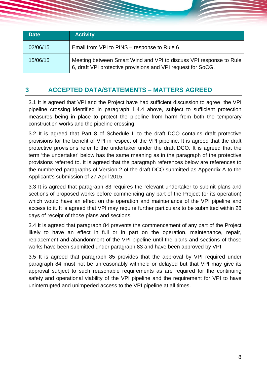| <b>Date</b> | <b>Activity</b>                                                                                                                    |
|-------------|------------------------------------------------------------------------------------------------------------------------------------|
| 02/06/15    | Email from VPI to PINS – response to Rule 6                                                                                        |
| 15/06/15    | Meeting between Smart Wind and VPI to discuss VPI response to Rule<br>6, draft VPI protective provisions and VPI request for SoCG. |

## <span id="page-7-0"></span>**3 ACCEPTED DATA/STATEMENTS – MATTERS AGREED**

3.1 It is agreed that VPI and the Project have had sufficient discussion to agree the VPI pipeline crossing identified in paragraph 1.4.4 above, subject to sufficient protection measures being in place to protect the pipeline from harm from both the temporary construction works and the pipeline crossing.

3.2 It is agreed that Part 8 of Schedule L to the draft DCO contains draft protective provisions for the benefit of VPI in respect of the VPI pipeline. It is agreed that the draft protective provisions refer to the undertaker under the draft DCO. It is agreed that the term 'the undertaker' below has the same meaning as in the paragraph of the protective provisions referred to. It is agreed that the paragraph references below are references to the numbered paragraphs of Version 2 of the draft DCO submitted as Appendix A to the Applicant's submission of 27 April 2015.

3.3 It is agreed that paragraph 83 requires the relevant undertaker to submit plans and sections of proposed works before commencing any part of the Project (or its operation) which would have an effect on the operation and maintenance of the VPI pipeline and access to it. It is agreed that VPI may require further particulars to be submitted within 28 days of receipt of those plans and sections,

3.4 It is agreed that paragraph 84 prevents the commencement of any part of the Project likely to have an effect in full or in part on the operation, maintenance, repair, replacement and abandonment of the VPI pipeline until the plans and sections of those works have been submitted under paragraph 83 and have been approved by VPI.

3.5 It is agreed that paragraph 85 provides that the approval by VPI required under paragraph 84 must not be unreasonably withheld or delayed but that VPI may give its approval subject to such reasonable requirements as are required for the continuing safety and operational viability of the VPI pipeline and the requirement for VPI to have uninterrupted and unimpeded access to the VPI pipeline at all times.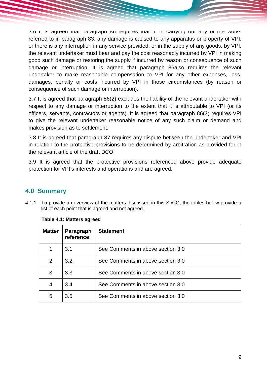3.6 It is agreed that paragraph 86 requires that if, in carrying out any of the works referred to in paragraph 83, any damage is caused to any apparatus or property of VPI, or there is any interruption in any service provided, or in the supply of any goods, by VPI, the relevant undertaker must bear and pay the cost reasonably incurred by VPI in making good such damage or restoring the supply if incurred by reason or consequence of such damage or interruption. It is agreed that paragraph 86also requires the relevant undertaker to make reasonable compensation to VPI for any other expenses, loss, damages, penalty or costs incurred by VPI in those circumstances (by reason or consequence of such damage or interruption).

3.7 It is agreed that paragraph 86(2) excludes the liability of the relevant undertaker with respect to any damage or interruption to the extent that it is attributable to VPI (or its officers, servants, contractors or agents). It is agreed that paragraph 86(3) requires VPI to give the relevant undertaker reasonable notice of any such claim or demand and makes provision as to settlement.

3.8 It is agreed that paragraph 87 requires any dispute between the undertaker and VPI in relation to the protective provisions to be determined by arbitration as provided for in the relevant article of the draft DCO.

3.9 It is agreed that the protective provisions referenced above provide adequate protection for VPI's interests and operations and are agreed.

## **4.0 Summary**

4.1.1 To provide an overview of the matters discussed in this SoCG, the tables below provide a list of each point that is agreed and not agreed.

| <b>Matter</b> | Paragraph<br>reference | <b>Statement</b>                  |
|---------------|------------------------|-----------------------------------|
|               | 3.1                    | See Comments in above section 3.0 |
| 2             | 3.2.                   | See Comments in above section 3.0 |
| 3             | 3.3                    | See Comments in above section 3.0 |
| 4             | 3.4                    | See Comments in above section 3.0 |
| 5             | 3.5                    | See Comments in above section 3.0 |

**Table 4.1: Matters agreed**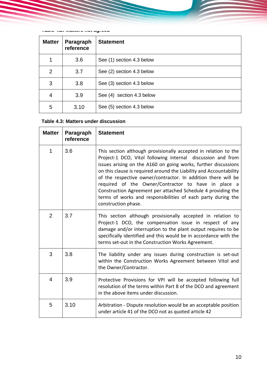**Table 4.2: Matters not agreed**

| <b>Matter</b> | Paragraph<br>reference | <b>Statement</b>          |
|---------------|------------------------|---------------------------|
| 1             | 3.6                    | See (1) section 4.3 below |
| 2             | 3.7                    | See (2) section 4.3 below |
| 3             | 3.8                    | See (3) section 4.3 below |
| 4             | 3.9                    | See (4) section 4.3 below |
| 5             | 3.10                   | See (5) section 4.3 below |

#### **Table 4.3: Matters under discussion**

| <b>Matter</b>  | Paragraph<br>reference | <b>Statement</b>                                                                                                                                                                                                                                                                                                                                                                                                                                                                                                                                      |
|----------------|------------------------|-------------------------------------------------------------------------------------------------------------------------------------------------------------------------------------------------------------------------------------------------------------------------------------------------------------------------------------------------------------------------------------------------------------------------------------------------------------------------------------------------------------------------------------------------------|
| 1              | 3.6                    | This section although provisionally accepted in relation to the<br>Project-1 DCO, Vitol following internal discussion and from<br>issues arising on the A160 on going works, further discussions<br>on this clause is required around the Liability and Accountability<br>of the respective owner/contractor. In addition there will be<br>required of the Owner/Contractor to have in place a<br>Construction Agreement per attached Schedule 4 providing the<br>terms of works and responsibilities of each party during the<br>construction phase. |
| $\overline{2}$ | 3.7                    | This section although provisionally accepted in relation to<br>Project-1 DCO, the compensation issue in respect of any<br>damage and/or interruption to the plant output requires to be<br>specifically identified and this would be in accordance with the<br>terms set-out in the Construction Works Agreement.                                                                                                                                                                                                                                     |
| 3              | 3.8                    | The liability under any issues during construction is set-out<br>within the Construction Works Agreement between Vitol and<br>the Owner/Contractor.                                                                                                                                                                                                                                                                                                                                                                                                   |
| 4              | 3.9                    | Protective Provisions for VPI will be accepted following full<br>resolution of the terms within Part 8 of the DCO and agreement<br>in the above items under discussion.                                                                                                                                                                                                                                                                                                                                                                               |
| 5              | 3.10                   | Arbitration - Dispute resolution would be an acceptable position<br>under article 41 of the DCO not as quoted article 42                                                                                                                                                                                                                                                                                                                                                                                                                              |